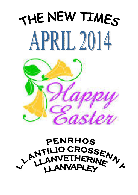# THE NEW TIMES APRIL 2014



# **PENRHOS** ANTILIO CROSSEN **LANVAPLEY**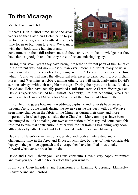# **To the Vicarage**

Valete David and Helen

It seems such a short time since the seven years ago that David and Helen came to join us for five years, and yet sadly it is already time for us to bid them farewell! We want to wish them both future happiness and



contentment in their full retirement, and they can retire in the knowledge that they have done a good job and that they have left us an enduring legacy.

During their seven years they have brought together different parts of the Benefice in a different way and more closely than ever before. No doubt many of us will have our store of anecdotes beginning with… 'Do you remember the time when…, and we will miss the allegorical references to canal boating. Nottingham Forest, and Westminster Abbey, among others. We will particularly miss David's sermons always with their tangible messages. During their part-time house-for-duty David and Helen have actually provided a full-time service (Team Vicarage!) and David's experience has led him, almost inexorably, into first becoming Area Dean and then later Canon of St Woolos Cathedral of the Diocese of Monmouth.

It is difficult to guess how many weddings, baptisms and funerals have passed through David's able hands during the seven years he has been with us. We have seen many changes in the fabric of the Churches during their time, and more importantly in what happens inside those Churches. Many among us have been encouraged to look at making our own contribution to Ministry and some have felt inspired to take that contribution further with formal training beginning very soon, although sadly, after David and Helen have departed their own Ministry.

David and Helen's departure coincides also with both an interesting and a challenging time in the Area and Diocesan Ministry, but part of their considerable legacy is the positive approach and courage they have instilled in us to take forward whatever we are asked to do.

David and Helen – thank you, et Deus vobiscum. Have a very happy retirement and may you spend all the hours afloat that you want to!

From your Churchwardens and Parishioners in Llantilio Crossenny, Llanfapley, Llanvetherine and Penrhos.

**——————————————————————————————--**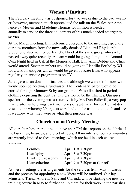#### **Women's' Institute**

The February meeting was postponed for two weeks due to the bad weather, however, members much appreciated the talk on the Wales Air Ambulance by Mervin and Madeline Thomas. £6 million is needed annually to service the three helicopters of this much needed emergency service.

At the March meeting, Lin welcomed everyone to the meeting especially our new members from the now sadly demised Llandewi Rhydderch group. She also mentioned Jeanette Hood of the same group who sadly passed away quite recently. A team would be going along to the Annual Quiz Night held in Usk at the Memorial Hall. Lin, Ann, Debbie and Chris would attend. Seven members would be going to Llantilio Pertholey WI for a talk on antiques which would be given by Kate Bliss who appears regularly on antique programmes on TV.

Janet gave a run down on finances and although we were ok for now we would soon be needing a fundraiser. The Centenary baton would be carried through Monnow St by our group of WI's all attired in period clothing depicting the century. Our era would be the Thirties. Our guest speaker for the evening was a return visit by Mr. Don Balkwill, a very popular visitor as he brings back memories of yesteryear for us. He had devised a quiz whereby 20 objects were laid out for us to look, touch and see if we knew what they were or what their purpose was.

#### **Church Annual Vestry Meetings**

All our churches are required to have an AGM that reports on the fabric of the buildings, finances, and elect officers. All members of our communities are warmly invited to these meetings which are held in each church building.

| Penrhos             | April 1 at 7.30pm            |
|---------------------|------------------------------|
| Llanfapley          | April 3 at 7.30pm            |
| Llantilio Crossenny | April 8 at 7.30pm            |
| Llanvetherine       | April 9 at 7.30pm at Cartref |

At these meetings the arrangements for the services from May onwards and the process for appointing a new Vicar will be outlined. Our lay Ministers, Tricia, Andrew, Sally and Clarinda will be starting the new lay training course in May to further equip them for their work in the parishes.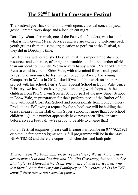### **The 52nd Llantilio Crossenny Festival**

The Festival goes back to its roots with opera, classical concerts, jazz, gospel, drama, workshops and a local talent night.

Dorothy Adams-Jeremiah, one of the Festival's founders, was head of what is now Gwent Music Services and we are excited to welcome back youth groups from the same organization to perform at the Festival, as they did in Dorothy's time.

 We feel as a well established Festival, that it is important to share our resources and expertise, offering opportunities to children further afield than our local community. We were very happy when 12 year old Callum Rees (a child in care in Ebbw Vale, with a terminal illness and special needs) who won our Charles Farncombe Junior Award For Young Composers in Wales in 2012, asked if we couldn't work on an opera project with his school: Pen Y Cwm Special School in Ebbw Vale. Since February, we have been having great fun doing workshops with the children from Pen Y Cwm Special School (part of the new Super School in Ebbw Vale) in preparation for their performances of the Barber of Seville with local Cross Ash School and professionals from London Opera Productions. Following a request by the school, we will be holding the dress rehearsal in the Hall of this Super School for more than 500 school children!! Quite a number apparently have never seen "live" theatre before, so as a Festival, we're proud to be able to change that!

For all Festival enquiries, please call Eleanor Farncombe on 07779225921 or e-mail e.farncombe@gmx.net. A full programme will be in the May NEW TIMES and there are copies in all churches and both pubs!

\_\_\_\_\_\_\_\_\_\_\_\_\_\_\_\_\_\_\_\_\_\_\_\_\_\_\_\_\_\_\_\_\_\_\_\_\_\_\_\_\_\_\_\_\_\_\_\_\_\_\_\_\_\_\_\_\_\_\_

*This year sees the 100th anniversary of the start of World War 1. There are memorials in both Penrhos and Llantilio Crossenny, but not in either Llanfapley or Llanvetherine. Is anyone aware of men (or women) who lost their lives in this war from Llanfapley or Llanvetherine? Do let TNT know if there names not recorded please.*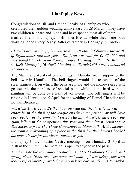#### **Llanfapley News**

Congratulations to Bill and Brenda Speake of Llanfapley who celebrated their golden wedding anniversary on 28 March. They have two children Richard and Linda and have spent almost all of their married life in Llanfapley. Bill met Brenda while they were both working in the Every Ready Batteries factory in Haringey in London.

*Chapel Farm in Llanfapley was sold on 18 March following the death of Bryan Jones late last year. The farm was sold for £1,476,000 and was bought by Mr John Young. Coffee Mornings (all at 10.30 a.m.) 9 April Llanvapley16 April Llantilio at Warwicks30 April Llanddewi Rhydderch.*

The March and April coffee mornings in Llantilio are in support of the bell tower in Llantilio. The bell ringers would like to repaint of the steel framework on which the bells are hung and the money raised will go towards the purchase of special paint while all the hard work of painting will be done by a team of volunteers. The bell ringers will be ringing in Llantilio on 5 April for the wedding of Daniel Chandler and Bethan Breakwell

*Warwicks Darts Team By the time you read this the darts team will either be in the final of the league knockout competition or will have been beaten in the semi final on 28 March. Warwicks have been the giant killers in the competition this year and their latest victims were The Shoesies from The Three Horseshoes in Monmouth. At the moment the team are dreaming of a place in the final but they haven't booked the open air bus for the victory parade as yet.*

Llanfapley Church Easter Vestry meeting is on Thursday 3 April at 7.30 in the church. The meeting is open to anyone in the parish.

*Another date for your diary : Saturday 10 May Llanfapley Churchyard spring clean 10:00 am - everyone welcome - please bring your own tools - refreshments provided (once you have earned it!)* Les Taylor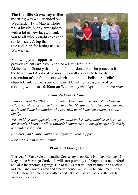**The Llantilio Crossenny coffee morning** was well attended on Wednesday 19th March. There was a lovely, happy atmosphere with a lot of new faces. Thank you to all who brought cakes and raffle prizes. A big thank you to Sue and Alan for letting us use Warwick's.



Following your support at

previous events we have received a letter from the Alzheimer's Society thanking us for our donation. The proceeds from the March and April coffee mornings will contribute towards the restoration of the framework which supports the bells at St Teilo's church Llantilio Crossenny. The next Llantilio Crossenny coffee morning will be at 10:30am on Wednesday16th April. *Alison Booth* 

#### *From Richard O'Connor*

*I have entered the 2014 Virgin London Marathon in memory of my beloved wife Avril who sadly passed away in 2010. My aim is to raise money for the Brain and Spine Foundation who provided us with immense support to our family.* 

*We would greatly appreciate any donation to this cause which is so close to our heart's. I know it will go towards helping the millions of people affected by associated conditions.*

*God bless, and many thanks once again for your support.*

*Richard O'Connor and Family* 

#### **Plant and Garage Sale**

This year's Plant Sale at Llantilio Crossenny is on Bank Holiday Monday, 5 May in the Vicarage Garden. It will start promptly at 2.00pm, (but not before!) and also incorporate a garage sale of things that will not fit into or be needed in Helen and David's new and smaller house. A list will be circulated in the week before the sale. Teas/coffees and cake stall as well as a raffle will be available, as ever.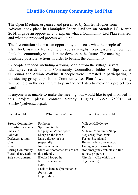#### **Llantilio Crossenny Community Led Plan**

The Open Meeting, organised and presented by Shirley Hughes from Adventa, took place in Llanfapley Sports Pavilion on Monday  $17<sup>th</sup>$  March 2014. It gave an opportunity to explain what a Community Led Plan entailed, and what the proposed process would be.

The Presentation also was an opportunity to discuss what the people of Llantilio Crossenny feel are the village's strengths, weaknesses and how they think the community should create/develop in the future. The meeting identified possible actions in order to benefit the community.

27 people attended, including 4 young people from the village, several Llanfapley residents and Community Councillors Eddie Phillips, Janet O'Connor and Adrian Watkins. 8 people were interested in participating in the steering group to push the Community Led Plan forward, and a meeting will be held in the near future to plan the next step to move this project forward.

If anyone was unable to make the meeting, but would like to get involved in this project, please contact Shirley Hughes 07793 259016 or Shirley@adventa.org.uk

| What we like                          | What we don't like               | What we would like              |
|---------------------------------------|----------------------------------|---------------------------------|
| <b>Strong Community</b>               | Pot holes                        | Village Hall/Centre             |
| Beautiful rural area                  | Speeding traffic                 | Park                            |
| Pubs $x$ 2                            | No play area/open space          | Village/Community Shop          |
| Solitude                              | Sheep on the loose               | Veg Swap/food bank              |
| Darkness at night                     | Late delivery of post            | Faster Broadband                |
| Church                                | (especially                      | Better mobile phone signal      |
| River                                 | for businesses)                  | Emergency information           |
| Caring Community                      | Stiles on footpaths that are not | (for emergency vehicles to find |
| Rural leisure activities dog friendly |                                  | remote properties)              |
| Safe environment                      | <b>Blocked</b> footpaths         | Circular walks which are        |
|                                       | No circular walks                | dog friendly)                   |
|                                       | Litter                           |                                 |
|                                       | Lack of benches/picnic tables    |                                 |
|                                       | for visitors                     |                                 |
|                                       | Dog fouling                      |                                 |